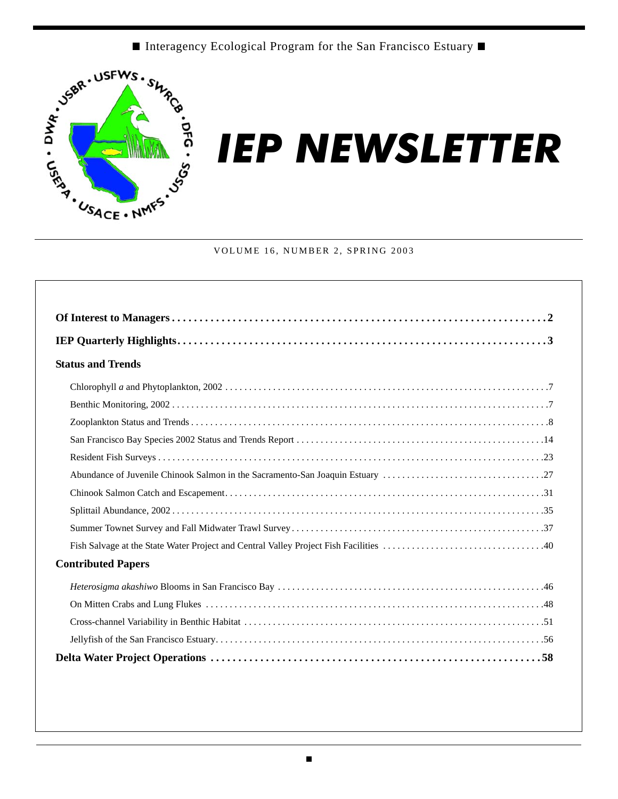■ Interagency Ecological Program for the San Francisco Estuary ■



# *IEP NEWSLETTER*

#### VOLUME 16, NUMBER 2, SPRING 2003

| <b>Status and Trends</b>  |
|---------------------------|
|                           |
|                           |
|                           |
|                           |
|                           |
|                           |
|                           |
|                           |
|                           |
|                           |
| <b>Contributed Papers</b> |
|                           |
|                           |
|                           |
|                           |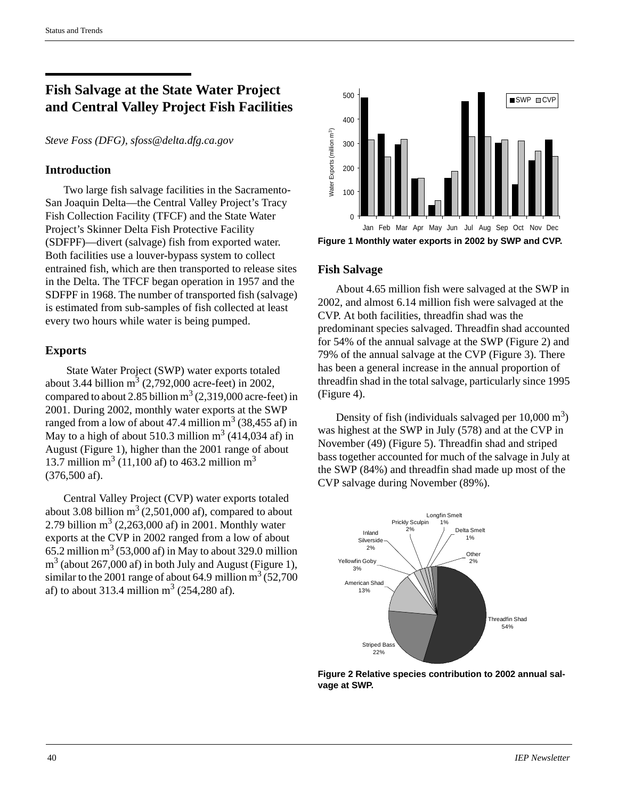# **Fish Salvage at the State Water Project and Central Valley Project Fish Facilities**

*Steve Foss (DFG), sfoss@delta.dfg.ca.gov*

### **Introduction**

Two large fish salvage facilities in the Sacramento-San Joaquin Delta—the Central Valley Project's Tracy Fish Collection Facility (TFCF) and the State Water Project's Skinner Delta Fish Protective Facility (SDFPF)—divert (salvage) fish from exported water. Both facilities use a louver-bypass system to collect entrained fish, which are then transported to release sites in the Delta. The TFCF began operation in 1957 and the SDFPF in 1968. The number of transported fish (salvage) is estimated from sub-samples of fish collected at least every two hours while water is being pumped.

## **Exports**

 State Water Project (SWP) water exports totaled about 3.44 billion  $m^3$  (2,792,000 acre-feet) in 2002, compared to about 2.85 billion  $m^3$  (2,319,000 acre-feet) in 2001. During 2002, monthly water exports at the SWP ranged from a low of about 47.4 million  $m^3$  (38,455 af) in May to a high of about 510.3 million  $m^3$  (414,034 af) in August (Figure 1), higher than the 2001 range of about 13.7 million  $m^3$  (11,100 af) to 463.2 million  $m^3$ (376,500 af).

Central Valley Project (CVP) water exports totaled about 3.08 billion  $m^3$  (2,501,000 af), compared to about 2.79 billion  $m^3$  (2,263,000 af) in 2001. Monthly water exports at the CVP in 2002 ranged from a low of about  $65.2$  million m<sup>3</sup> (53,000 af) in May to about 329.0 million  $m<sup>3</sup>$  (about 267,000 af) in both July and August (Figure 1), similar to the 2001 range of about 64.9 million  $m^3$  (52,700) af) to about 313.4 million  $m^3$  (254,280 af).



**Figure 1 Monthly water exports in 2002 by SWP and CVP.**

#### **Fish Salvage**

About 4.65 million fish were salvaged at the SWP in 2002, and almost 6.14 million fish were salvaged at the CVP. At both facilities, threadfin shad was the predominant species salvaged. Threadfin shad accounted for 54% of the annual salvage at the SWP (Figure 2) and 79% of the annual salvage at the CVP (Figure 3). There has been a general increase in the annual proportion of threadfin shad in the total salvage, particularly since 1995 (Figure 4).

Density of fish (individuals salvaged per  $10,000 \text{ m}^3$ ) was highest at the SWP in July (578) and at the CVP in November (49) (Figure 5). Threadfin shad and striped bass together accounted for much of the salvage in July at the SWP (84%) and threadfin shad made up most of the CVP salvage during November (89%).



**Figure 2 Relative species contribution to 2002 annual salvage at SWP.**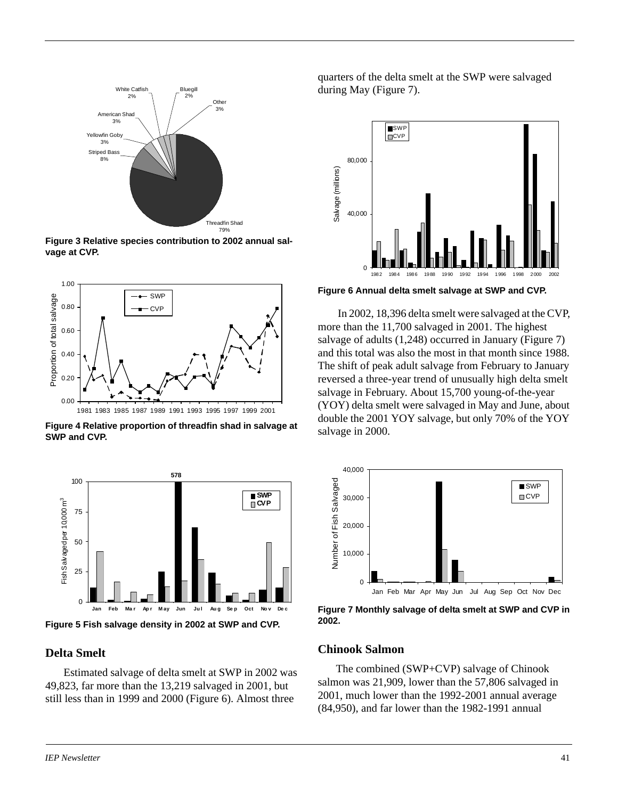

**Figure 3 Relative species contribution to 2002 annual salvage at CVP.**



**Figure 4 Relative proportion of threadfin shad in salvage at SWP and CVP.**



**Figure 5 Fish salvage density in 2002 at SWP and CVP.**

#### **Delta Smelt**

Estimated salvage of delta smelt at SWP in 2002 was 49,823, far more than the 13,219 salvaged in 2001, but still less than in 1999 and 2000 (Figure 6). Almost three

quarters of the delta smelt at the SWP were salvaged during May (Figure 7).



**Figure 6 Annual delta smelt salvage at SWP and CVP.**

 In 2002, 18,396 delta smelt were salvaged at the CVP, more than the 11,700 salvaged in 2001. The highest salvage of adults (1,248) occurred in January (Figure 7) and this total was also the most in that month since 1988. The shift of peak adult salvage from February to January reversed a three-year trend of unusually high delta smelt salvage in February. About 15,700 young-of-the-year (YOY) delta smelt were salvaged in May and June, about double the 2001 YOY salvage, but only 70% of the YOY salvage in 2000.



**Figure 7 Monthly salvage of delta smelt at SWP and CVP in 2002.**

#### **Chinook Salmon**

The combined (SWP+CVP) salvage of Chinook salmon was 21,909, lower than the 57,806 salvaged in 2001, much lower than the 1992-2001 annual average (84,950), and far lower than the 1982-1991 annual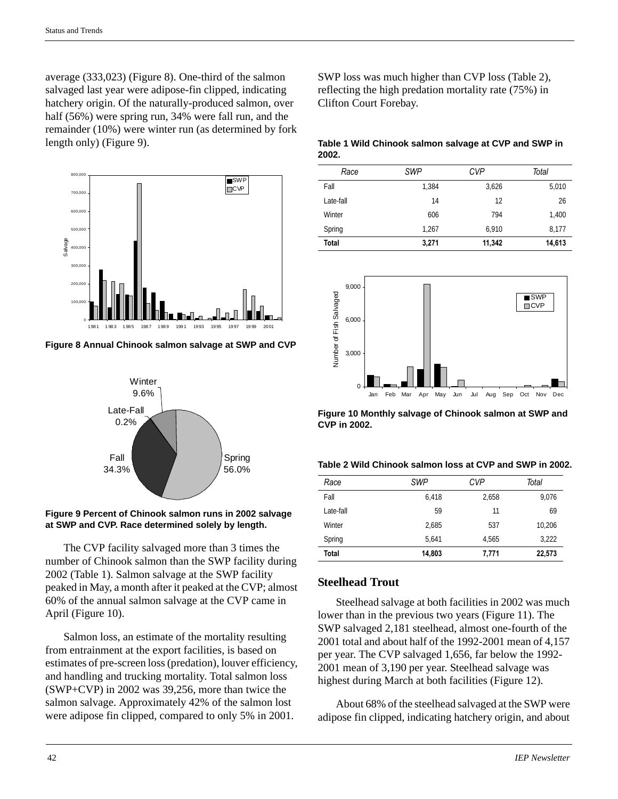average (333,023) (Figure 8). One-third of the salmon salvaged last year were adipose-fin clipped, indicating hatchery origin. Of the naturally-produced salmon, over half (56%) were spring run, 34% were fall run, and the remainder (10%) were winter run (as determined by fork length only) (Figure 9).



**Figure 8 Annual Chinook salmon salvage at SWP and CVP**



#### **Figure 9 Percent of Chinook salmon runs in 2002 salvage at SWP and CVP. Race determined solely by length.**

The CVP facility salvaged more than 3 times the number of Chinook salmon than the SWP facility during 2002 (Table 1). Salmon salvage at the SWP facility peaked in May, a month after it peaked at the CVP; almost 60% of the annual salmon salvage at the CVP came in April (Figure 10).

Salmon loss, an estimate of the mortality resulting from entrainment at the export facilities, is based on estimates of pre-screen loss (predation), louver efficiency, and handling and trucking mortality. Total salmon loss (SWP+CVP) in 2002 was 39,256, more than twice the salmon salvage. Approximately 42% of the salmon lost were adipose fin clipped, compared to only 5% in 2001.

SWP loss was much higher than CVP loss (Table 2), reflecting the high predation mortality rate (75%) in Clifton Court Forebay.

#### **Table 1 Wild Chinook salmon salvage at CVP and SWP in 2002.**

| Race         | <b>SWP</b> | <b>CVP</b> | Total  |
|--------------|------------|------------|--------|
| Fall         | 1,384      | 3,626      | 5,010  |
| Late-fall    | 14         | 12         | 26     |
| Winter       | 606        | 794        | 1,400  |
| Spring       | 1,267      | 6.910      | 8.177  |
| <b>Total</b> | 3,271      | 11,342     | 14,613 |





| Table 2 Wild Chinook salmon loss at CVP and SWP in 2002. |
|----------------------------------------------------------|
|----------------------------------------------------------|

| Race      | <b>SWP</b> | <b>CVP</b> | Total  |
|-----------|------------|------------|--------|
| Fall      | 6,418      | 2,658      | 9,076  |
| Late-fall | 59         | 11         | 69     |
| Winter    | 2.685      | 537        | 10.206 |
| Spring    | 5.641      | 4.565      | 3,222  |
| Total     | 14,803     | 7,771      | 22,573 |

## **Steelhead Trout**

Steelhead salvage at both facilities in 2002 was much lower than in the previous two years (Figure 11). The SWP salvaged 2,181 steelhead, almost one-fourth of the 2001 total and about half of the 1992-2001 mean of 4,157 per year. The CVP salvaged 1,656, far below the 1992- 2001 mean of 3,190 per year. Steelhead salvage was highest during March at both facilities (Figure 12).

About 68% of the steelhead salvaged at the SWP were adipose fin clipped, indicating hatchery origin, and about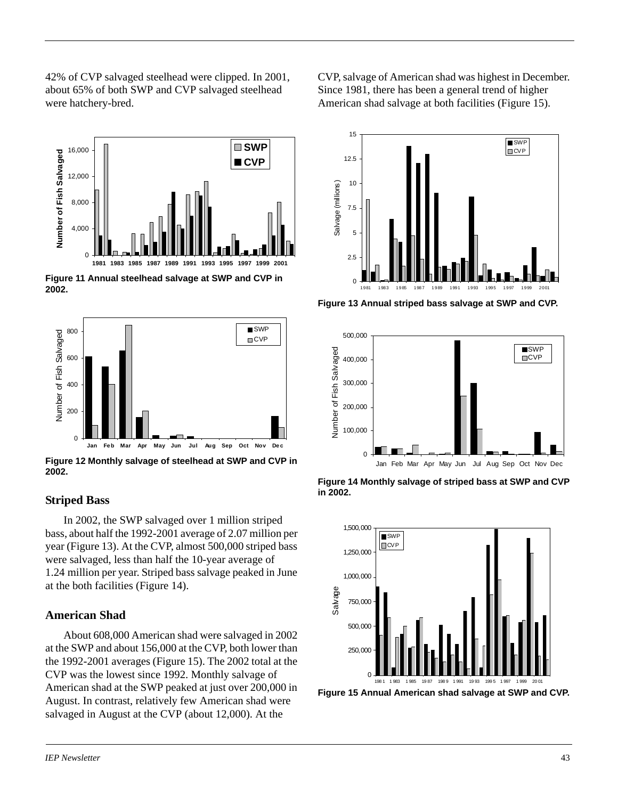42% of CVP salvaged steelhead were clipped. In 2001, about 65% of both SWP and CVP salvaged steelhead were hatchery-bred.



**Figure 11 Annual steelhead salvage at SWP and CVP in 2002.**



**Figure 12 Monthly salvage of steelhead at SWP and CVP in 2002.**

#### **Striped Bass**

In 2002, the SWP salvaged over 1 million striped bass, about half the 1992-2001 average of 2.07 million per year (Figure 13). At the CVP, almost 500,000 striped bass were salvaged, less than half the 10-year average of 1.24 million per year. Striped bass salvage peaked in June at the both facilities (Figure 14).

#### **American Shad**

About 608,000 American shad were salvaged in 2002 at the SWP and about 156,000 at the CVP, both lower than the 1992-2001 averages (Figure 15). The 2002 total at the CVP was the lowest since 1992. Monthly salvage of American shad at the SWP peaked at just over 200,000 in August. In contrast, relatively few American shad were salvaged in August at the CVP (about 12,000). At the

CVP, salvage of American shad was highest in December. Since 1981, there has been a general trend of higher American shad salvage at both facilities (Figure 15).



**Figure 13 Annual striped bass salvage at SWP and CVP.**



**Figure 14 Monthly salvage of striped bass at SWP and CVP in 2002.**



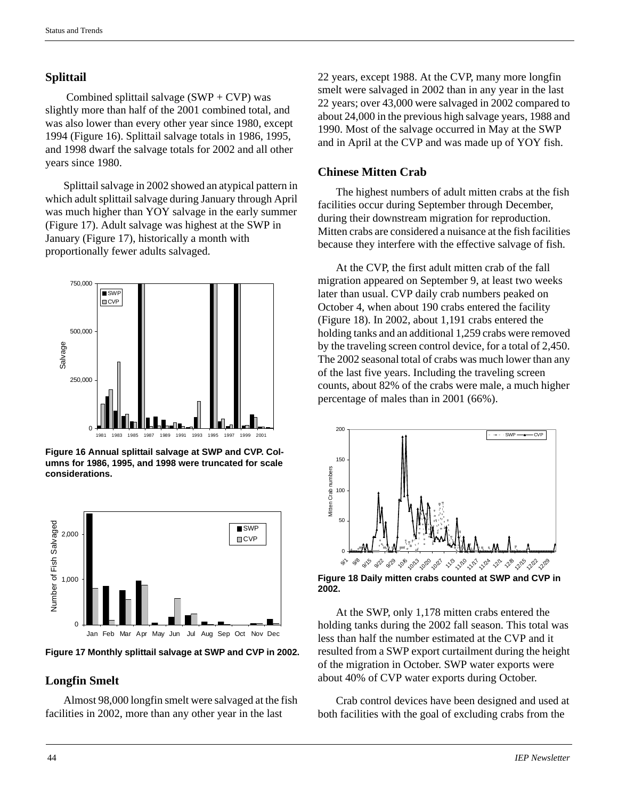## **Splittail**

Combined splittail salvage  $(SWP + CVP)$  was slightly more than half of the 2001 combined total, and was also lower than every other year since 1980, except 1994 (Figure 16). Splittail salvage totals in 1986, 1995, and 1998 dwarf the salvage totals for 2002 and all other years since 1980.

Splittail salvage in 2002 showed an atypical pattern in which adult splittail salvage during January through April was much higher than YOY salvage in the early summer (Figure 17). Adult salvage was highest at the SWP in January (Figure 17), historically a month with proportionally fewer adults salvaged.



**Figure 16 Annual splittail salvage at SWP and CVP. Columns for 1986, 1995, and 1998 were truncated for scale considerations.**



**Figure 17 Monthly splittail salvage at SWP and CVP in 2002.**

# **Longfin Smelt**

Almost 98,000 longfin smelt were salvaged at the fish facilities in 2002, more than any other year in the last

22 years, except 1988. At the CVP, many more longfin smelt were salvaged in 2002 than in any year in the last 22 years; over 43,000 were salvaged in 2002 compared to about 24,000 in the previous high salvage years, 1988 and 1990. Most of the salvage occurred in May at the SWP and in April at the CVP and was made up of YOY fish.

## **Chinese Mitten Crab**

The highest numbers of adult mitten crabs at the fish facilities occur during September through December, during their downstream migration for reproduction. Mitten crabs are considered a nuisance at the fish facilities because they interfere with the effective salvage of fish.

At the CVP, the first adult mitten crab of the fall migration appeared on September 9, at least two weeks later than usual. CVP daily crab numbers peaked on October 4, when about 190 crabs entered the facility (Figure 18). In 2002, about 1,191 crabs entered the holding tanks and an additional 1,259 crabs were removed by the traveling screen control device, for a total of 2,450. The 2002 seasonal total of crabs was much lower than any of the last five years. Including the traveling screen counts, about 82% of the crabs were male, a much higher percentage of males than in 2001 (66%).



**Figure 18 Daily mitten crabs counted at SWP and CVP in 2002.**

At the SWP, only 1,178 mitten crabs entered the holding tanks during the 2002 fall season. This total was less than half the number estimated at the CVP and it resulted from a SWP export curtailment during the height of the migration in October. SWP water exports were about 40% of CVP water exports during October.

Crab control devices have been designed and used at both facilities with the goal of excluding crabs from the